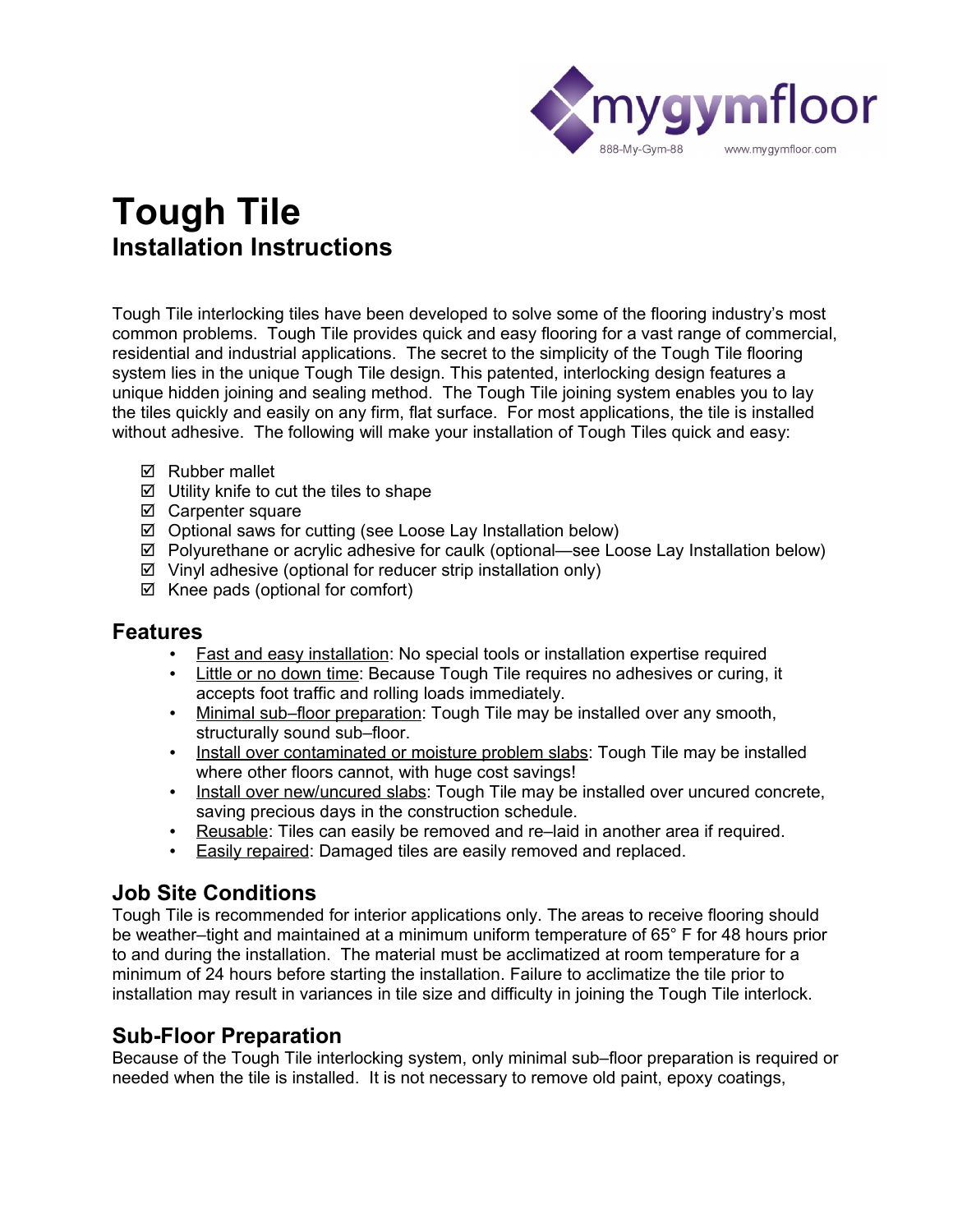

# **Tough Tile Installation Instructions**

Tough Tile interlocking tiles have been developed to solve some of the flooring industry's most common problems. Tough Tile provides quick and easy flooring for a vast range of commercial, residential and industrial applications. The secret to the simplicity of the Tough Tile flooring system lies in the unique Tough Tile design. This patented, interlocking design features a unique hidden joining and sealing method. The Tough Tile joining system enables you to lay the tiles quickly and easily on any firm, flat surface. For most applications, the tile is installed without adhesive. The following will make your installation of Tough Tiles quick and easy:

- **Ø** Rubber mallet
- $\boxtimes$  Utility knife to cut the tiles to shape
- $\boxtimes$  Carpenter square
- $\boxtimes$  Optional saws for cutting (see Loose Lay Installation below)
- Polyurethane or acrylic adhesive for caulk (optional—see Loose Lay Installation below)
- $\boxtimes$  Vinyl adhesive (optional for reducer strip installation only)
- $\boxtimes$  Knee pads (optional for comfort)

## **Features**

- Fast and easy installation: No special tools or installation expertise required
- Little or no down time: Because Tough Tile requires no adhesives or curing, it accepts foot traffic and rolling loads immediately.
- Minimal sub–floor preparation: Tough Tile may be installed over any smooth, structurally sound sub–floor.
- Install over contaminated or moisture problem slabs: Tough Tile may be installed where other floors cannot, with huge cost savings!
- Install over new/uncured slabs: Tough Tile may be installed over uncured concrete, saving precious days in the construction schedule.
- Reusable: Tiles can easily be removed and re–laid in another area if required.
- Easily repaired: Damaged tiles are easily removed and replaced.

# **Job Site Conditions**

Tough Tile is recommended for interior applications only. The areas to receive flooring should be weather–tight and maintained at a minimum uniform temperature of 65° F for 48 hours prior to and during the installation. The material must be acclimatized at room temperature for a minimum of 24 hours before starting the installation. Failure to acclimatize the tile prior to installation may result in variances in tile size and difficulty in joining the Tough Tile interlock.

# **Sub-Floor Preparation**

Because of the Tough Tile interlocking system, only minimal sub–floor preparation is required or needed when the tile is installed. It is not necessary to remove old paint, epoxy coatings,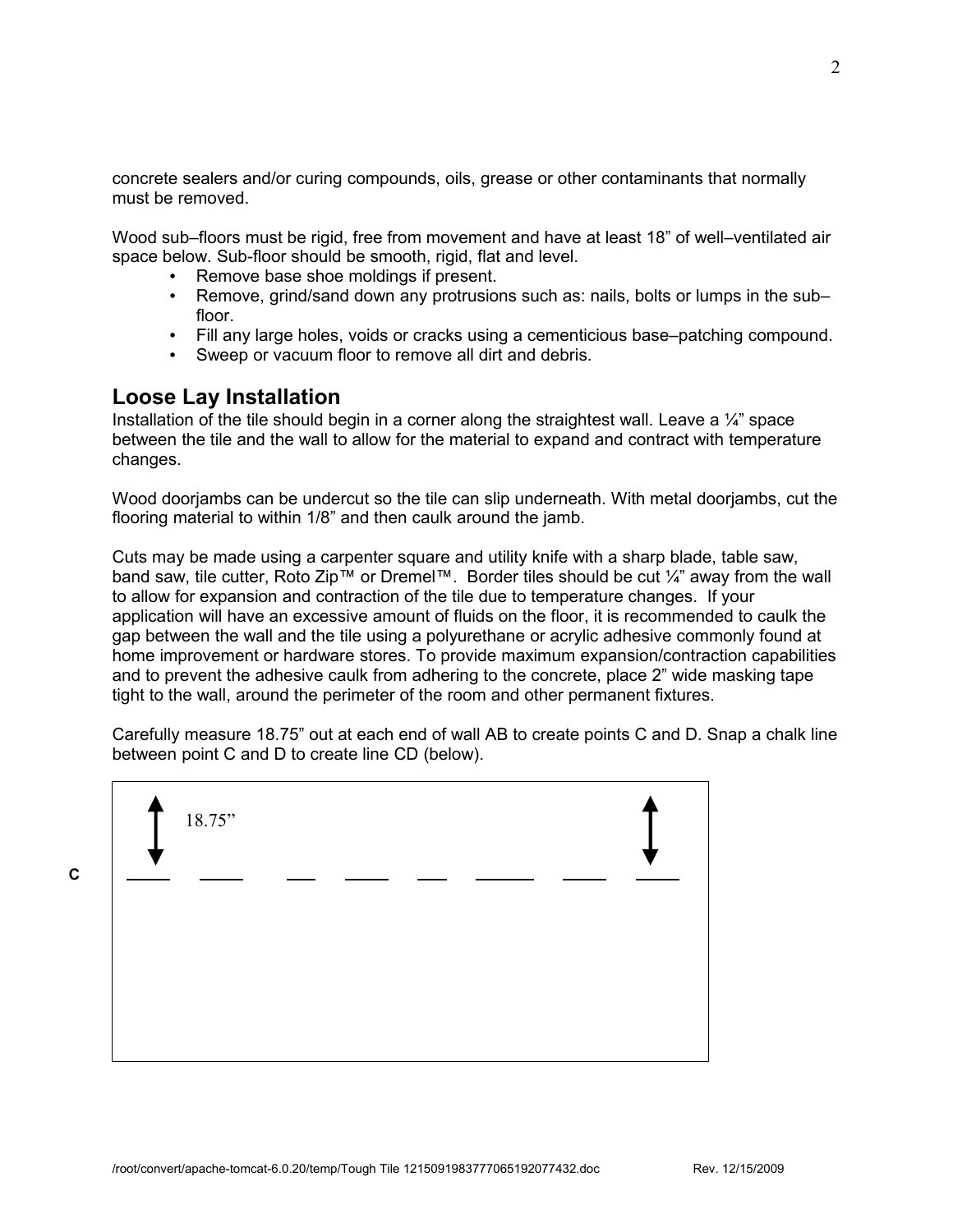concrete sealers and/or curing compounds, oils, grease or other contaminants that normally must be removed.

Wood sub–floors must be rigid, free from movement and have at least 18" of well–ventilated air space below. Sub-floor should be smooth, rigid, flat and level.

- Remove base shoe moldings if present.
- Remove, grind/sand down any protrusions such as: nails, bolts or lumps in the subfloor.
- Fill any large holes, voids or cracks using a cementicious base–patching compound.
- Sweep or vacuum floor to remove all dirt and debris.

## **Loose Lay Installation**

Installation of the tile should begin in a corner along the straightest wall. Leave a  $\mathcal{U}$  space between the tile and the wall to allow for the material to expand and contract with temperature changes.

Wood doorjambs can be undercut so the tile can slip underneath. With metal doorjambs, cut the flooring material to within 1/8" and then caulk around the jamb.

Cuts may be made using a carpenter square and utility knife with a sharp blade, table saw, band saw, tile cutter, Roto Zip™ or Dremel™. Border tiles should be cut ¼" away from the wall to allow for expansion and contraction of the tile due to temperature changes. If your application will have an excessive amount of fluids on the floor, it is recommended to caulk the gap between the wall and the tile using a polyurethane or acrylic adhesive commonly found at home improvement or hardware stores. To provide maximum expansion/contraction capabilities and to prevent the adhesive caulk from adhering to the concrete, place 2" wide masking tape tight to the wall, around the perimeter of the room and other permanent fixtures.

Carefully measure 18.75" out at each end of wall AB to create points C and D. Snap a chalk line between point C and D to create line CD (below).

|  | 18.75" |  |  |  |
|--|--------|--|--|--|
|  |        |  |  |  |
|  |        |  |  |  |